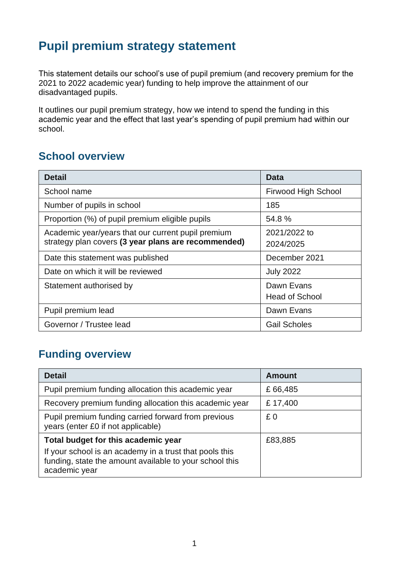## **Pupil premium strategy statement**

This statement details our school's use of pupil premium (and recovery premium for the 2021 to 2022 academic year) funding to help improve the attainment of our disadvantaged pupils.

It outlines our pupil premium strategy, how we intend to spend the funding in this academic year and the effect that last year's spending of pupil premium had within our school.

#### **School overview**

| <b>Detail</b>                                       | <b>Data</b>                |
|-----------------------------------------------------|----------------------------|
| School name                                         | <b>Firwood High School</b> |
| Number of pupils in school                          | 185                        |
| Proportion (%) of pupil premium eligible pupils     | 54.8%                      |
| Academic year/years that our current pupil premium  | 2021/2022 to               |
| strategy plan covers (3 year plans are recommended) | 2024/2025                  |
| Date this statement was published                   | December 2021              |
| Date on which it will be reviewed                   | <b>July 2022</b>           |
| Statement authorised by                             | Dawn Evans                 |
|                                                     | <b>Head of School</b>      |
| Pupil premium lead                                  | Dawn Evans                 |
| Governor / Trustee lead                             | <b>Gail Scholes</b>        |

## **Funding overview**

| <b>Detail</b>                                                                                                                       | <b>Amount</b> |
|-------------------------------------------------------------------------------------------------------------------------------------|---------------|
| Pupil premium funding allocation this academic year                                                                                 | £66,485       |
| Recovery premium funding allocation this academic year                                                                              | £17,400       |
| Pupil premium funding carried forward from previous<br>years (enter £0 if not applicable)                                           | £0            |
| Total budget for this academic year                                                                                                 | £83,885       |
| If your school is an academy in a trust that pools this<br>funding, state the amount available to your school this<br>academic year |               |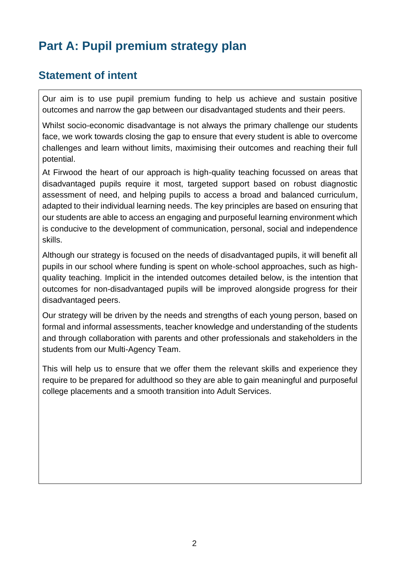# **Part A: Pupil premium strategy plan**

#### **Statement of intent**

Our aim is to use pupil premium funding to help us achieve and sustain positive outcomes and narrow the gap between our disadvantaged students and their peers.

Whilst socio-economic disadvantage is not always the primary challenge our students face, we work towards closing the gap to ensure that every student is able to overcome challenges and learn without limits, maximising their outcomes and reaching their full potential.

At Firwood the heart of our approach is high-quality teaching focussed on areas that disadvantaged pupils require it most, targeted support based on robust diagnostic assessment of need, and helping pupils to access a broad and balanced curriculum, adapted to their individual learning needs. The key principles are based on ensuring that our students are able to access an engaging and purposeful learning environment which is conducive to the development of communication, personal, social and independence skills.

Although our strategy is focused on the needs of disadvantaged pupils, it will benefit all pupils in our school where funding is spent on whole-school approaches, such as highquality teaching. Implicit in the intended outcomes detailed below, is the intention that outcomes for non-disadvantaged pupils will be improved alongside progress for their disadvantaged peers.

Our strategy will be driven by the needs and strengths of each young person, based on formal and informal assessments, teacher knowledge and understanding of the students and through collaboration with parents and other professionals and stakeholders in the students from our Multi-Agency Team.

This will help us to ensure that we offer them the relevant skills and experience they require to be prepared for adulthood so they are able to gain meaningful and purposeful college placements and a smooth transition into Adult Services.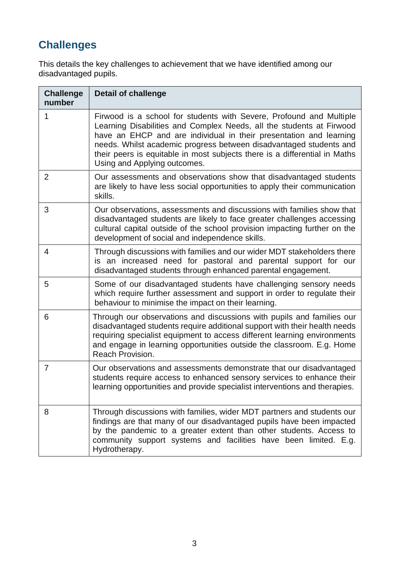## **Challenges**

This details the key challenges to achievement that we have identified among our disadvantaged pupils.

| <b>Challenge</b><br>number | <b>Detail of challenge</b>                                                                                                                                                                                                                                                                                                                                                                            |
|----------------------------|-------------------------------------------------------------------------------------------------------------------------------------------------------------------------------------------------------------------------------------------------------------------------------------------------------------------------------------------------------------------------------------------------------|
| 1                          | Firwood is a school for students with Severe, Profound and Multiple<br>Learning Disabilities and Complex Needs, all the students at Firwood<br>have an EHCP and are individual in their presentation and learning<br>needs. Whilst academic progress between disadvantaged students and<br>their peers is equitable in most subjects there is a differential in Maths<br>Using and Applying outcomes. |
| 2                          | Our assessments and observations show that disadvantaged students<br>are likely to have less social opportunities to apply their communication<br>skills.                                                                                                                                                                                                                                             |
| 3                          | Our observations, assessments and discussions with families show that<br>disadvantaged students are likely to face greater challenges accessing<br>cultural capital outside of the school provision impacting further on the<br>development of social and independence skills.                                                                                                                        |
| 4                          | Through discussions with families and our wider MDT stakeholders there<br>is an increased need for pastoral and parental support for our<br>disadvantaged students through enhanced parental engagement.                                                                                                                                                                                              |
| 5                          | Some of our disadvantaged students have challenging sensory needs<br>which require further assessment and support in order to regulate their<br>behaviour to minimise the impact on their learning.                                                                                                                                                                                                   |
| 6                          | Through our observations and discussions with pupils and families our<br>disadvantaged students require additional support with their health needs<br>requiring specialist equipment to access different learning environments<br>and engage in learning opportunities outside the classroom. E.g. Home<br>Reach Provision.                                                                           |
| $\overline{7}$             | Our observations and assessments demonstrate that our disadvantaged<br>students require access to enhanced sensory services to enhance their<br>learning opportunities and provide specialist interventions and therapies.                                                                                                                                                                            |
| 8                          | Through discussions with families, wider MDT partners and students our<br>findings are that many of our disadvantaged pupils have been impacted<br>by the pandemic to a greater extent than other students. Access to<br>community support systems and facilities have been limited. E.g.<br>Hydrotherapy.                                                                                            |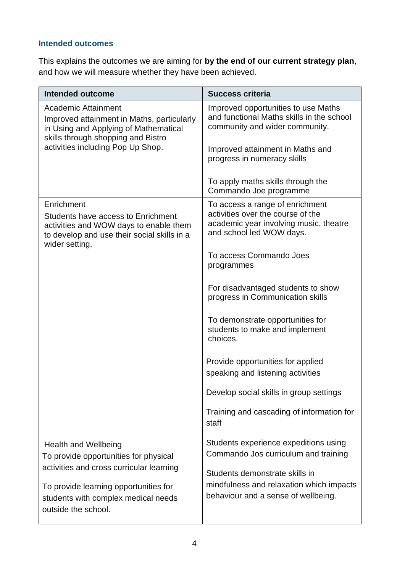#### **Intended outcomes**

This explains the outcomes we are aiming for **by the end of our current strategy plan**, and how we will measure whether they have been achieved.

| Intended outcome                                                                                                                                            | <b>Success criteria</b>                                                                                                                    |  |
|-------------------------------------------------------------------------------------------------------------------------------------------------------------|--------------------------------------------------------------------------------------------------------------------------------------------|--|
| <b>Academic Attainment</b><br>Improved attainment in Maths, particularly<br>in Using and Applying of Mathematical<br>skills through shopping and Bistro     | Improved opportunities to use Maths<br>and functional Maths skills in the school<br>community and wider community.                         |  |
| activities including Pop Up Shop.                                                                                                                           | Improved attainment in Maths and<br>progress in numeracy skills                                                                            |  |
|                                                                                                                                                             | To apply maths skills through the<br>Commando Joe programme                                                                                |  |
| Enrichment<br>Students have access to Enrichment<br>activities and WOW days to enable them<br>to develop and use their social skills in a<br>wider setting. | To access a range of enrichment<br>activities over the course of the<br>academic year involving music, theatre<br>and school led WOW days. |  |
|                                                                                                                                                             | To access Commando Joes<br>programmes                                                                                                      |  |
|                                                                                                                                                             | For disadvantaged students to show<br>progress in Communication skills                                                                     |  |
|                                                                                                                                                             | To demonstrate opportunities for<br>students to make and implement<br>choices.                                                             |  |
|                                                                                                                                                             | Provide opportunities for applied<br>speaking and listening activities                                                                     |  |
|                                                                                                                                                             | Develop social skills in group settings                                                                                                    |  |
|                                                                                                                                                             | Training and cascading of information for<br>staff                                                                                         |  |
| <b>Health and Wellbeing</b>                                                                                                                                 | Students experience expeditions using                                                                                                      |  |
| To provide opportunities for physical<br>activities and cross curricular learning                                                                           | Commando Jos curriculum and training                                                                                                       |  |
| To provide learning opportunities for                                                                                                                       | Students demonstrate skills in<br>mindfulness and relaxation which impacts                                                                 |  |
| students with complex medical needs<br>outside the school.                                                                                                  | behaviour and a sense of wellbeing.                                                                                                        |  |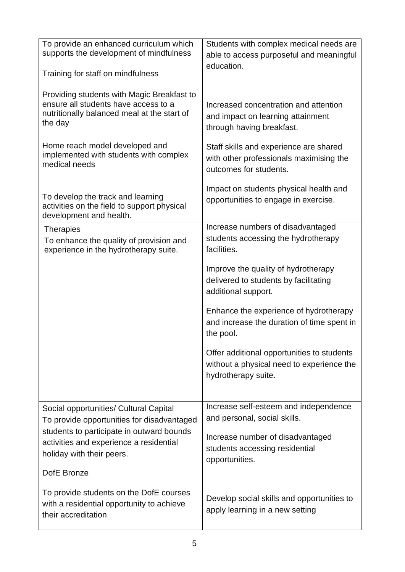| To provide an enhanced curriculum which<br>supports the development of mindfulness<br>Training for staff on mindfulness                      | Students with complex medical needs are<br>able to access purposeful and meaningful<br>education.              |
|----------------------------------------------------------------------------------------------------------------------------------------------|----------------------------------------------------------------------------------------------------------------|
| Providing students with Magic Breakfast to<br>ensure all students have access to a<br>nutritionally balanced meal at the start of<br>the day | Increased concentration and attention<br>and impact on learning attainment<br>through having breakfast.        |
| Home reach model developed and<br>implemented with students with complex<br>medical needs                                                    | Staff skills and experience are shared<br>with other professionals maximising the<br>outcomes for students.    |
| To develop the track and learning<br>activities on the field to support physical<br>development and health.                                  | Impact on students physical health and<br>opportunities to engage in exercise.                                 |
| <b>Therapies</b><br>To enhance the quality of provision and<br>experience in the hydrotherapy suite.                                         | Increase numbers of disadvantaged<br>students accessing the hydrotherapy<br>facilities.                        |
|                                                                                                                                              | Improve the quality of hydrotherapy<br>delivered to students by facilitating<br>additional support.            |
|                                                                                                                                              | Enhance the experience of hydrotherapy<br>and increase the duration of time spent in<br>the pool.              |
|                                                                                                                                              | Offer additional opportunities to students<br>without a physical need to experience the<br>hydrotherapy suite. |
| Social opportunities/ Cultural Capital                                                                                                       | Increase self-esteem and independence                                                                          |
| To provide opportunities for disadvantaged                                                                                                   | and personal, social skills.                                                                                   |
| students to participate in outward bounds<br>activities and experience a residential<br>holiday with their peers.                            | Increase number of disadvantaged<br>students accessing residential<br>opportunities.                           |
| DofE Bronze                                                                                                                                  |                                                                                                                |
| To provide students on the DofE courses<br>with a residential opportunity to achieve<br>their accreditation                                  | Develop social skills and opportunities to<br>apply learning in a new setting                                  |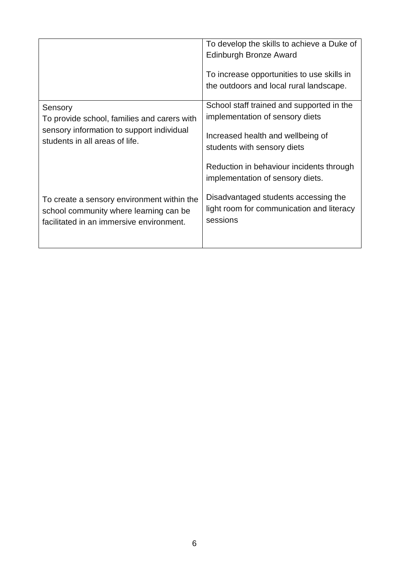|                                             | To develop the skills to achieve a Duke of<br>Edinburgh Bronze Award<br>To increase opportunities to use skills in<br>the outdoors and local rural landscape. |
|---------------------------------------------|---------------------------------------------------------------------------------------------------------------------------------------------------------------|
| Sensory                                     | School staff trained and supported in the                                                                                                                     |
| To provide school, families and carers with | implementation of sensory diets                                                                                                                               |
| sensory information to support individual   | Increased health and wellbeing of                                                                                                                             |
| students in all areas of life.              | students with sensory diets                                                                                                                                   |
|                                             | Reduction in behaviour incidents through<br>implementation of sensory diets.                                                                                  |
| To create a sensory environment within the  | Disadvantaged students accessing the                                                                                                                          |
| school community where learning can be      | light room for communication and literacy                                                                                                                     |
| facilitated in an immersive environment.    | sessions                                                                                                                                                      |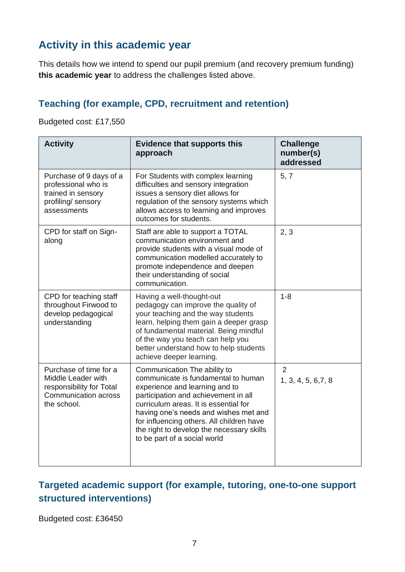## **Activity in this academic year**

This details how we intend to spend our pupil premium (and recovery premium funding) **this academic year** to address the challenges listed above.

#### **Teaching (for example, CPD, recruitment and retention)**

Budgeted cost: £17,550

| <b>Activity</b>                                                                                                 | <b>Evidence that supports this</b><br>approach                                                                                                                                                                                                                                                                                                            | <b>Challenge</b><br>number(s)<br>addressed |
|-----------------------------------------------------------------------------------------------------------------|-----------------------------------------------------------------------------------------------------------------------------------------------------------------------------------------------------------------------------------------------------------------------------------------------------------------------------------------------------------|--------------------------------------------|
| Purchase of 9 days of a<br>professional who is<br>trained in sensory<br>profiling/ sensory<br>assessments       | For Students with complex learning<br>difficulties and sensory integration<br>issues a sensory diet allows for<br>regulation of the sensory systems which<br>allows access to learning and improves<br>outcomes for students.                                                                                                                             | 5, 7                                       |
| CPD for staff on Sign-<br>along                                                                                 | Staff are able to support a TOTAL<br>communication environment and<br>provide students with a visual mode of<br>communication modelled accurately to<br>promote independence and deepen<br>their understanding of social<br>communication.                                                                                                                | 2, 3                                       |
| CPD for teaching staff<br>throughout Firwood to<br>develop pedagogical<br>understanding                         | Having a well-thought-out<br>pedagogy can improve the quality of<br>your teaching and the way students<br>learn, helping them gain a deeper grasp<br>of fundamental material. Being mindful<br>of the way you teach can help you<br>better understand how to help students<br>achieve deeper learning.                                                    | $1 - 8$                                    |
| Purchase of time for a<br>Middle Leader with<br>responsibility for Total<br>Communication across<br>the school. | Communication The ability to<br>communicate is fundamental to human<br>experience and learning and to<br>participation and achievement in all<br>curriculum areas. It is essential for<br>having one's needs and wishes met and<br>for influencing others. All children have<br>the right to develop the necessary skills<br>to be part of a social world | $\overline{2}$<br>1, 3, 4, 5, 6, 7, 8      |

#### **Targeted academic support (for example, tutoring, one-to-one support structured interventions)**

Budgeted cost: £36450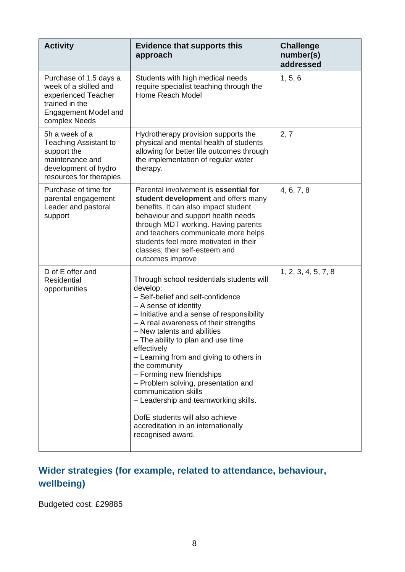| <b>Activity</b>                                                                                                                     | <b>Evidence that supports this</b><br>approach                                                                                                                                                                                                                                                                                                                                                                                                                                                                                                                                                | <b>Challenge</b><br>number(s)<br>addressed |
|-------------------------------------------------------------------------------------------------------------------------------------|-----------------------------------------------------------------------------------------------------------------------------------------------------------------------------------------------------------------------------------------------------------------------------------------------------------------------------------------------------------------------------------------------------------------------------------------------------------------------------------------------------------------------------------------------------------------------------------------------|--------------------------------------------|
| Purchase of 1.5 days a<br>week of a skilled and<br>experienced Teacher<br>trained in the<br>Engagement Model and<br>complex Needs   | Students with high medical needs<br>require specialist teaching through the<br>Home Reach Model                                                                                                                                                                                                                                                                                                                                                                                                                                                                                               | 1, 5, 6                                    |
| 5h a week of a<br><b>Teaching Assistant to</b><br>support the<br>maintenance and<br>development of hydro<br>resources for therapies | Hydrotherapy provision supports the<br>physical and mental health of students<br>allowing for better life outcomes through<br>the implementation of regular water<br>therapy.                                                                                                                                                                                                                                                                                                                                                                                                                 | 2, 7                                       |
| Purchase of time for<br>parental engagement<br>Leader and pastoral<br>support                                                       | Parental involvement is essential for<br>student development and offers many<br>benefits. It can also impact student<br>behaviour and support health needs<br>through MDT working. Having parents<br>and teachers communicate more helps<br>students feel more motivated in their<br>classes; their self-esteem and<br>outcomes improve                                                                                                                                                                                                                                                       | 4, 6, 7, 8                                 |
| D of E offer and<br>Residential<br>opportunities                                                                                    | Through school residentials students will<br>develop:<br>- Self-belief and self-confidence<br>- A sense of identity<br>- Initiative and a sense of responsibility<br>- A real awareness of their strengths<br>- New talents and abilities<br>- The ability to plan and use time<br>effectively<br>- Learning from and giving to others in<br>the community<br>- Forming new friendships<br>- Problem solving, presentation and<br>communication skills<br>- Leadership and teamworking skills.<br>DofE students will also achieve<br>accreditation in an internationally<br>recognised award. | 1, 2, 3, 4, 5, 7, 8                        |

## **Wider strategies (for example, related to attendance, behaviour, wellbeing)**

Budgeted cost: £29885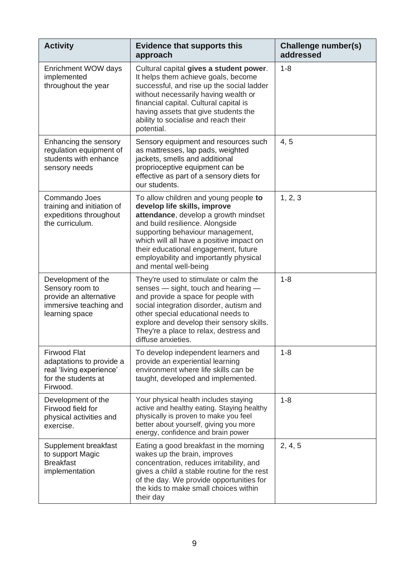| <b>Activity</b>                                                                                                | <b>Evidence that supports this</b><br>approach                                                                                                                                                                                                                                                                                              | Challenge number(s)<br>addressed |
|----------------------------------------------------------------------------------------------------------------|---------------------------------------------------------------------------------------------------------------------------------------------------------------------------------------------------------------------------------------------------------------------------------------------------------------------------------------------|----------------------------------|
| Enrichment WOW days<br>implemented<br>throughout the year                                                      | Cultural capital gives a student power.<br>It helps them achieve goals, become<br>successful, and rise up the social ladder<br>without necessarily having wealth or<br>financial capital. Cultural capital is<br>having assets that give students the<br>ability to socialise and reach their<br>potential.                                 | $1 - 8$                          |
| Enhancing the sensory<br>regulation equipment of<br>students with enhance<br>sensory needs                     | Sensory equipment and resources such<br>as mattresses, lap pads, weighted<br>jackets, smells and additional<br>proprioceptive equipment can be<br>effective as part of a sensory diets for<br>our students.                                                                                                                                 | 4, 5                             |
| Commando Joes<br>training and initiation of<br>expeditions throughout<br>the curriculum.                       | To allow children and young people to<br>develop life skills, improve<br>attendance, develop a growth mindset<br>and build resilience. Alongside<br>supporting behaviour management,<br>which will all have a positive impact on<br>their educational engagement, future<br>employability and importantly physical<br>and mental well-being | 1, 2, 3                          |
| Development of the<br>Sensory room to<br>provide an alternative<br>immersive teaching and<br>learning space    | They're used to stimulate or calm the<br>senses - sight, touch and hearing -<br>and provide a space for people with<br>social integration disorder, autism and<br>other special educational needs to<br>explore and develop their sensory skills.<br>They're a place to relax, destress and<br>diffuse anxieties.                           | $1 - 8$                          |
| <b>Firwood Flat</b><br>adaptations to provide a<br>real 'living experience'<br>for the students at<br>Firwood. | To develop independent learners and<br>provide an experiential learning<br>environment where life skills can be<br>taught, developed and implemented.                                                                                                                                                                                       | $1 - 8$                          |
| Development of the<br>Firwood field for<br>physical activities and<br>exercise.                                | Your physical health includes staying<br>active and healthy eating. Staying healthy<br>physically is proven to make you feel<br>better about yourself, giving you more<br>energy, confidence and brain power                                                                                                                                | $1 - 8$                          |
| Supplement breakfast<br>to support Magic<br><b>Breakfast</b><br>implementation                                 | Eating a good breakfast in the morning<br>wakes up the brain, improves<br>concentration, reduces irritability, and<br>gives a child a stable routine for the rest<br>of the day. We provide opportunities for<br>the kids to make small choices within<br>their day                                                                         | 2, 4, 5                          |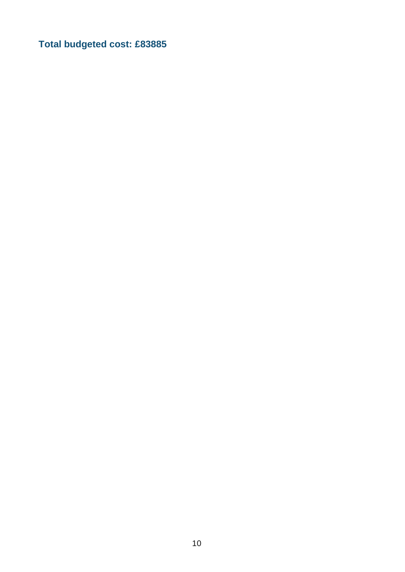**Total budgeted cost: £83885**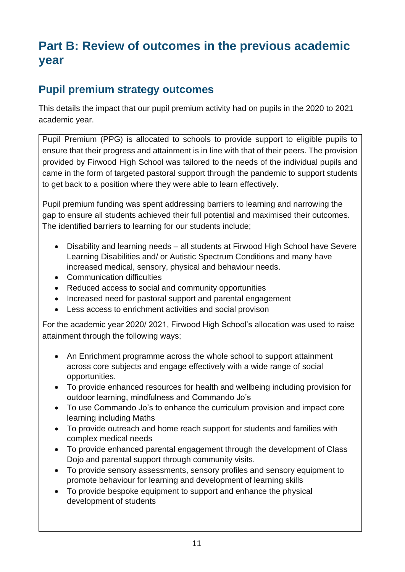## **Part B: Review of outcomes in the previous academic year**

#### **Pupil premium strategy outcomes**

This details the impact that our pupil premium activity had on pupils in the 2020 to 2021 academic year.

Pupil Premium (PPG) is allocated to schools to provide support to eligible pupils to ensure that their progress and attainment is in line with that of their peers. The provision provided by Firwood High School was tailored to the needs of the individual pupils and came in the form of targeted pastoral support through the pandemic to support students to get back to a position where they were able to learn effectively.

Pupil premium funding was spent addressing barriers to learning and narrowing the gap to ensure all students achieved their full potential and maximised their outcomes. The identified barriers to learning for our students include;

- Disability and learning needs all students at Firwood High School have Severe Learning Disabilities and/ or Autistic Spectrum Conditions and many have increased medical, sensory, physical and behaviour needs.
- Communication difficulties
- Reduced access to social and community opportunities
- Increased need for pastoral support and parental engagement
- Less access to enrichment activities and social provison

For the academic year 2020/ 2021, Firwood High School's allocation was used to raise attainment through the following ways;

- An Enrichment programme across the whole school to support attainment across core subjects and engage effectively with a wide range of social opportunities.
- To provide enhanced resources for health and wellbeing including provision for outdoor learning, mindfulness and Commando Jo's
- To use Commando Jo's to enhance the curriculum provision and impact core learning including Maths
- To provide outreach and home reach support for students and families with complex medical needs
- To provide enhanced parental engagement through the development of Class Dojo and parental support through community visits.
- To provide sensory assessments, sensory profiles and sensory equipment to promote behaviour for learning and development of learning skills
- To provide bespoke equipment to support and enhance the physical development of students